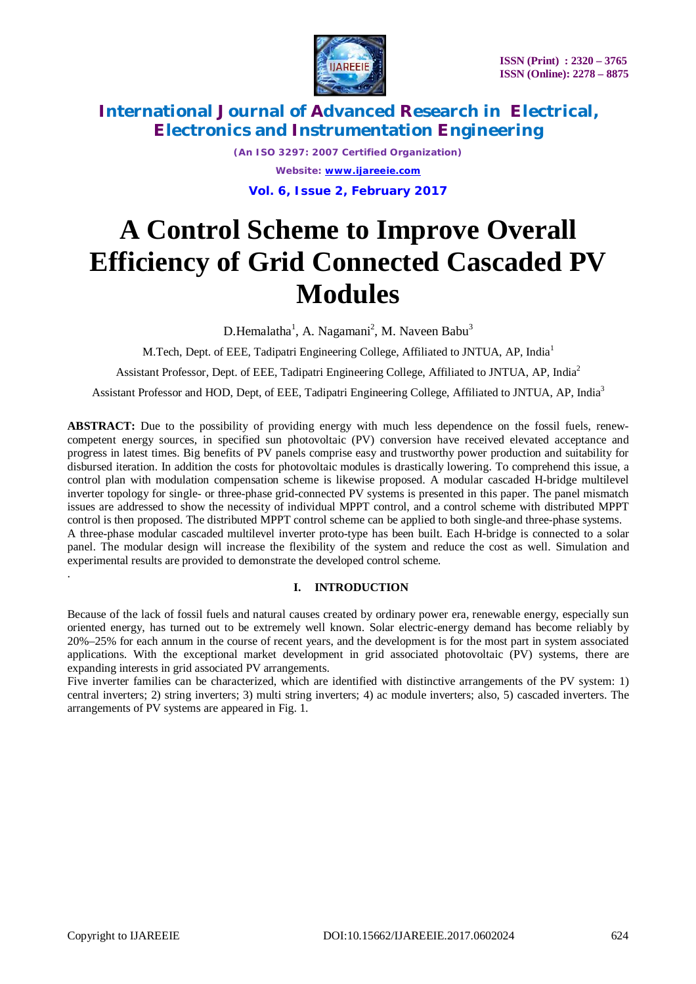



*(An ISO 3297: 2007 Certified Organization) Website: [www.ijareeie.com](http://www.ijareeie.com)* **Vol. 6, Issue 2, February 2017**

# **A Control Scheme to Improve Overall Efficiency of Grid Connected Cascaded PV Modules**

D.Hemalatha<sup>1</sup>, A. Nagamani<sup>2</sup>, M. Naveen Babu<sup>3</sup>

M.Tech, Dept. of EEE, Tadipatri Engineering College, Affiliated to JNTUA, AP, India<sup>1</sup>

Assistant Professor, Dept. of EEE, Tadipatri Engineering College, Affiliated to JNTUA, AP, India<sup>2</sup>

Assistant Professor and HOD, Dept, of EEE, Tadipatri Engineering College, Affiliated to JNTUA, AP, India<sup>3</sup>

**ABSTRACT:** Due to the possibility of providing energy with much less dependence on the fossil fuels, renewcompetent energy sources, in specified sun photovoltaic (PV) conversion have received elevated acceptance and progress in latest times. Big benefits of PV panels comprise easy and trustworthy power production and suitability for disbursed iteration. In addition the costs for photovoltaic modules is drastically lowering. To comprehend this issue, a control plan with modulation compensation scheme is likewise proposed. A modular cascaded H-bridge multilevel inverter topology for single- or three-phase grid-connected PV systems is presented in this paper. The panel mismatch issues are addressed to show the necessity of individual MPPT control, and a control scheme with distributed MPPT control is then proposed. The distributed MPPT control scheme can be applied to both single-and three-phase systems. A three-phase modular cascaded multilevel inverter proto-type has been built. Each H-bridge is connected to a solar panel. The modular design will increase the flexibility of the system and reduce the cost as well. Simulation and experimental results are provided to demonstrate the developed control scheme.

#### **I. INTRODUCTION**

Because of the lack of fossil fuels and natural causes created by ordinary power era, renewable energy, especially sun oriented energy, has turned out to be extremely well known. Solar electric-energy demand has become reliably by 20%–25% for each annum in the course of recent years, and the development is for the most part in system associated applications. With the exceptional market development in grid associated photovoltaic (PV) systems, there are expanding interests in grid associated PV arrangements.

Five inverter families can be characterized, which are identified with distinctive arrangements of the PV system: 1) central inverters; 2) string inverters; 3) multi string inverters; 4) ac module inverters; also, 5) cascaded inverters. The arrangements of PV systems are appeared in Fig. 1.

.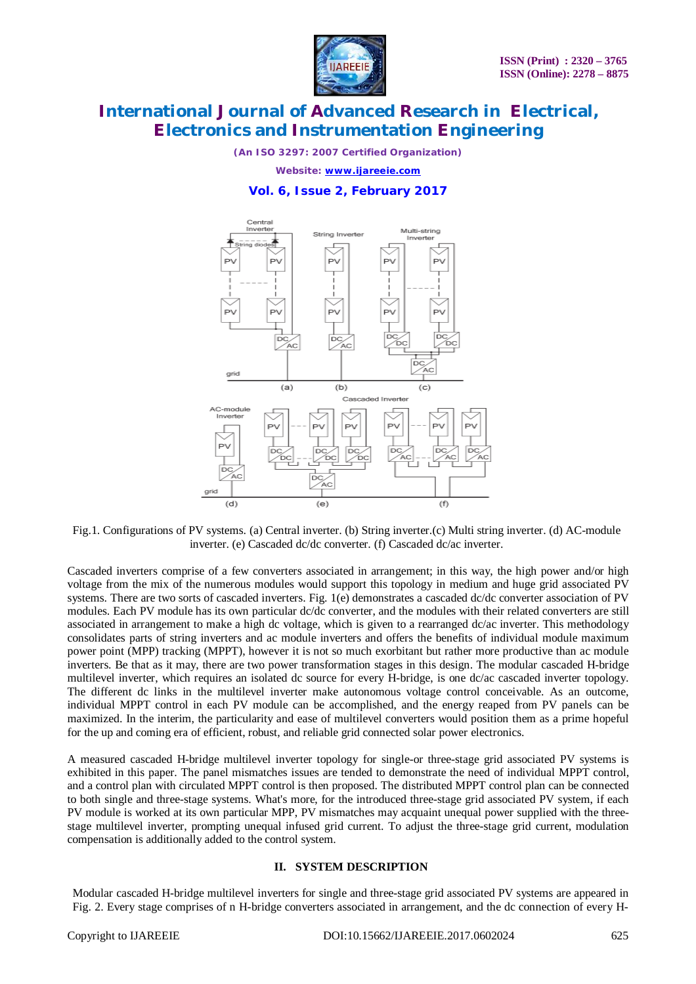

*(An ISO 3297: 2007 Certified Organization)*

*Website: [www.ijareeie.com](http://www.ijareeie.com)*

#### **Vol. 6, Issue 2, February 2017**



Fig.1. Configurations of PV systems. (a) Central inverter. (b) String inverter.(c) Multi string inverter. (d) AC-module inverter. (e) Cascaded dc/dc converter. (f) Cascaded dc/ac inverter.

Cascaded inverters comprise of a few converters associated in arrangement; in this way, the high power and/or high voltage from the mix of the numerous modules would support this topology in medium and huge grid associated PV systems. There are two sorts of cascaded inverters. Fig. 1(e) demonstrates a cascaded dc/dc converter association of PV modules. Each PV module has its own particular dc/dc converter, and the modules with their related converters are still associated in arrangement to make a high dc voltage, which is given to a rearranged dc/ac inverter. This methodology consolidates parts of string inverters and ac module inverters and offers the benefits of individual module maximum power point (MPP) tracking (MPPT), however it is not so much exorbitant but rather more productive than ac module inverters. Be that as it may, there are two power transformation stages in this design. The modular cascaded H-bridge multilevel inverter, which requires an isolated dc source for every H-bridge, is one dc/ac cascaded inverter topology. The different dc links in the multilevel inverter make autonomous voltage control conceivable. As an outcome, individual MPPT control in each PV module can be accomplished, and the energy reaped from PV panels can be maximized. In the interim, the particularity and ease of multilevel converters would position them as a prime hopeful for the up and coming era of efficient, robust, and reliable grid connected solar power electronics.

A measured cascaded H-bridge multilevel inverter topology for single-or three-stage grid associated PV systems is exhibited in this paper. The panel mismatches issues are tended to demonstrate the need of individual MPPT control, and a control plan with circulated MPPT control is then proposed. The distributed MPPT control plan can be connected to both single and three-stage systems. What's more, for the introduced three-stage grid associated PV system, if each PV module is worked at its own particular MPP, PV mismatches may acquaint unequal power supplied with the threestage multilevel inverter, prompting unequal infused grid current. To adjust the three-stage grid current, modulation compensation is additionally added to the control system.

#### **II. SYSTEM DESCRIPTION**

Modular cascaded H-bridge multilevel inverters for single and three-stage grid associated PV systems are appeared in Fig. 2. Every stage comprises of n H-bridge converters associated in arrangement, and the dc connection of every H-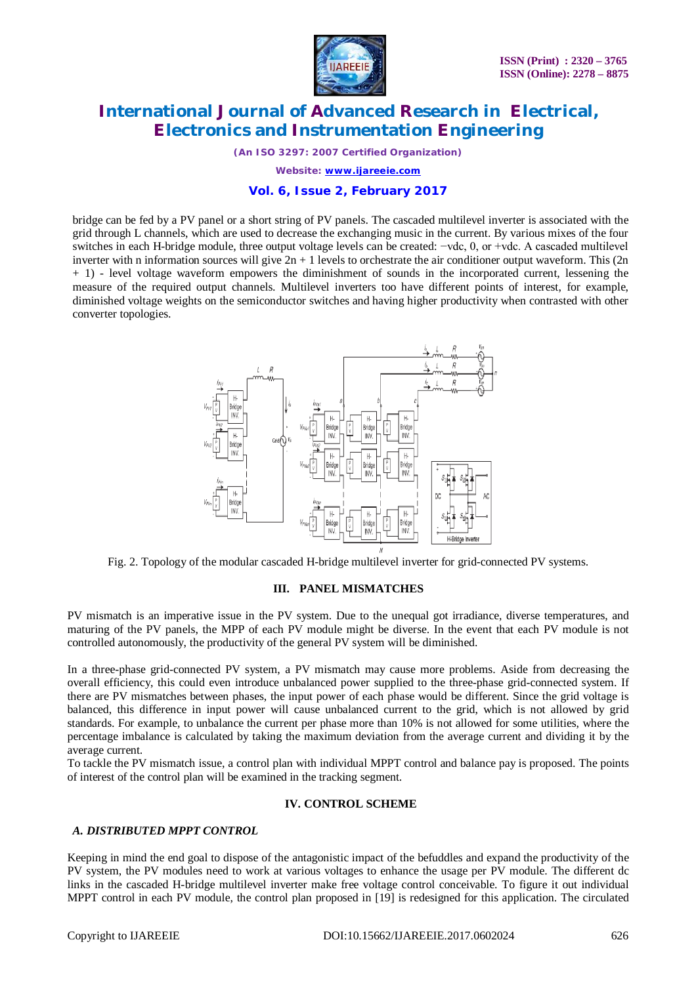

*(An ISO 3297: 2007 Certified Organization)*

*Website: [www.ijareeie.com](http://www.ijareeie.com)*

#### **Vol. 6, Issue 2, February 2017**

bridge can be fed by a PV panel or a short string of PV panels. The cascaded multilevel inverter is associated with the grid through L channels, which are used to decrease the exchanging music in the current. By various mixes of the four switches in each H-bridge module, three output voltage levels can be created: −vdc, 0, or +vdc. A cascaded multilevel inverter with n information sources will give  $2n + 1$  levels to orchestrate the air conditioner output waveform. This  $(2n + 1)$ + 1) - level voltage waveform empowers the diminishment of sounds in the incorporated current, lessening the measure of the required output channels. Multilevel inverters too have different points of interest, for example, diminished voltage weights on the semiconductor switches and having higher productivity when contrasted with other converter topologies.



Fig. 2. Topology of the modular cascaded H-bridge multilevel inverter for grid-connected PV systems.

#### **III. PANEL MISMATCHES**

PV mismatch is an imperative issue in the PV system. Due to the unequal got irradiance, diverse temperatures, and maturing of the PV panels, the MPP of each PV module might be diverse. In the event that each PV module is not controlled autonomously, the productivity of the general PV system will be diminished.

In a three-phase grid-connected PV system, a PV mismatch may cause more problems. Aside from decreasing the overall efficiency, this could even introduce unbalanced power supplied to the three-phase grid-connected system. If there are PV mismatches between phases, the input power of each phase would be different. Since the grid voltage is balanced, this difference in input power will cause unbalanced current to the grid, which is not allowed by grid standards. For example, to unbalance the current per phase more than 10% is not allowed for some utilities, where the percentage imbalance is calculated by taking the maximum deviation from the average current and dividing it by the average current.

To tackle the PV mismatch issue, a control plan with individual MPPT control and balance pay is proposed. The points of interest of the control plan will be examined in the tracking segment.

#### **IV. CONTROL SCHEME**

#### *A. DISTRIBUTED MPPT CONTROL*

Keeping in mind the end goal to dispose of the antagonistic impact of the befuddles and expand the productivity of the PV system, the PV modules need to work at various voltages to enhance the usage per PV module. The different dc links in the cascaded H-bridge multilevel inverter make free voltage control conceivable. To figure it out individual MPPT control in each PV module, the control plan proposed in [19] is redesigned for this application. The circulated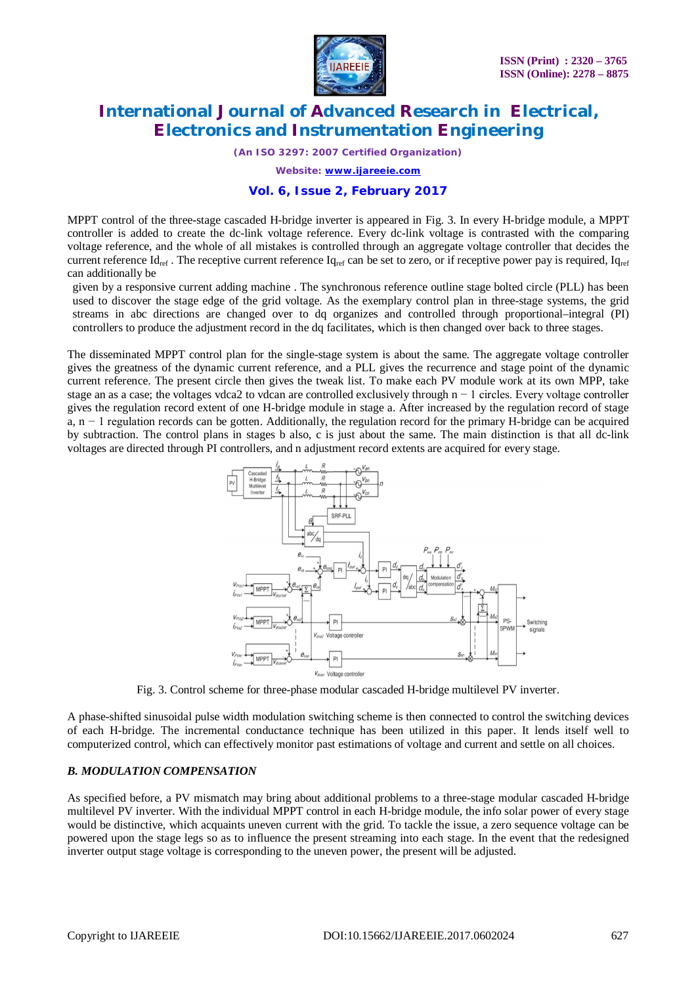

*(An ISO 3297: 2007 Certified Organization)*

*Website: [www.ijareeie.com](http://www.ijareeie.com)*

#### **Vol. 6, Issue 2, February 2017**

MPPT control of the three-stage cascaded H-bridge inverter is appeared in Fig. 3. In every H-bridge module, a MPPT controller is added to create the dc-link voltage reference. Every dc-link voltage is contrasted with the comparing voltage reference, and the whole of all mistakes is controlled through an aggregate voltage controller that decides the current reference  $Id_{ref}$ . The receptive current reference  $Id_{ref}$  can be set to zero, or if receptive power pay is required,  $Id_{ref}$ can additionally be

given by a responsive current adding machine . The synchronous reference outline stage bolted circle (PLL) has been used to discover the stage edge of the grid voltage. As the exemplary control plan in three-stage systems, the grid streams in abc directions are changed over to dq organizes and controlled through proportional–integral (PI) controllers to produce the adjustment record in the dq facilitates, which is then changed over back to three stages.

The disseminated MPPT control plan for the single-stage system is about the same. The aggregate voltage controller gives the greatness of the dynamic current reference, and a PLL gives the recurrence and stage point of the dynamic current reference. The present circle then gives the tweak list. To make each PV module work at its own MPP, take stage an as a case; the voltages vdca2 to vdcan are controlled exclusively through n − 1 circles. Every voltage controller gives the regulation record extent of one H-bridge module in stage a. After increased by the regulation record of stage a, n − 1 regulation records can be gotten. Additionally, the regulation record for the primary H-bridge can be acquired by subtraction. The control plans in stages b also, c is just about the same. The main distinction is that all dc-link voltages are directed through PI controllers, and n adjustment record extents are acquired for every stage.



Fig. 3. Control scheme for three-phase modular cascaded H-bridge multilevel PV inverter.

A phase-shifted sinusoidal pulse width modulation switching scheme is then connected to control the switching devices of each H-bridge. The incremental conductance technique has been utilized in this paper. It lends itself well to computerized control, which can effectively monitor past estimations of voltage and current and settle on all choices.

#### *B. MODULATION COMPENSATION*

As specified before, a PV mismatch may bring about additional problems to a three-stage modular cascaded H-bridge multilevel PV inverter. With the individual MPPT control in each H-bridge module, the info solar power of every stage would be distinctive, which acquaints uneven current with the grid. To tackle the issue, a zero sequence voltage can be powered upon the stage legs so as to influence the present streaming into each stage. In the event that the redesigned inverter output stage voltage is corresponding to the uneven power, the present will be adjusted.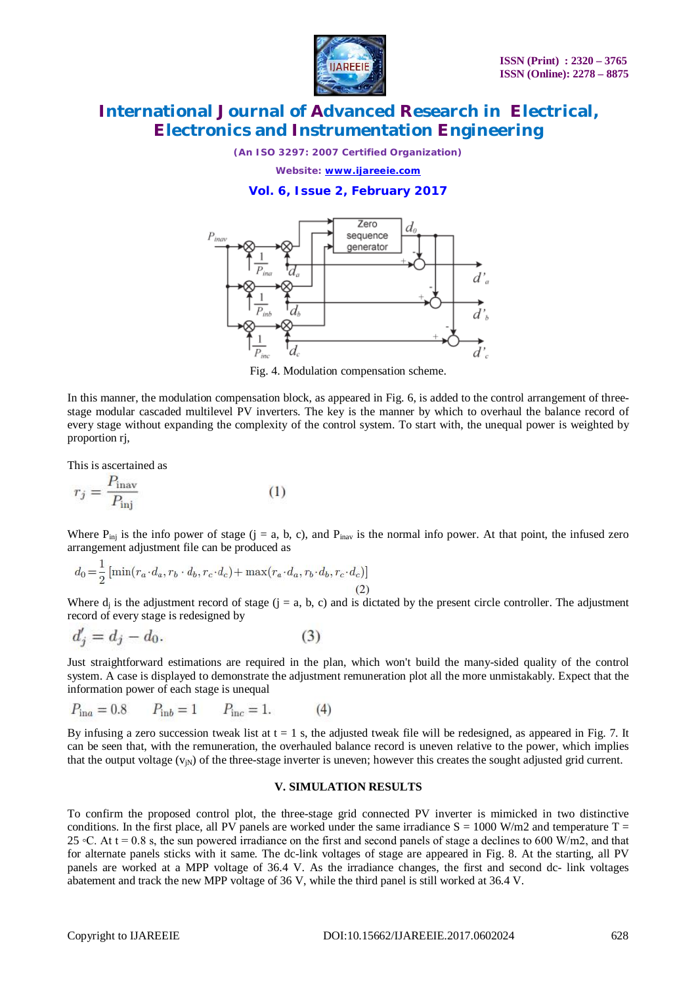

*(An ISO 3297: 2007 Certified Organization)*

*Website: [www.ijareeie.com](http://www.ijareeie.com)*

**Vol. 6, Issue 2, February 2017**



Fig. 4. Modulation compensation scheme.

In this manner, the modulation compensation block, as appeared in Fig. 6, is added to the control arrangement of threestage modular cascaded multilevel PV inverters. The key is the manner by which to overhaul the balance record of every stage without expanding the complexity of the control system. To start with, the unequal power is weighted by proportion rj,

This is ascertained as

$$
r_j = \frac{P_{\text{inav}}}{P_{\text{inj}}} \tag{1}
$$

Where  $P_{\text{ini}}$  is the info power of stage (j = a, b, c), and  $P_{\text{inay}}$  is the normal info power. At that point, the infused zero arrangement adjustment file can be produced as

$$
d_0 = \frac{1}{2} \left[ \min(r_a \cdot d_a, r_b \cdot d_b, r_c \cdot d_c) + \max(r_a \cdot d_a, r_b \cdot d_b, r_c \cdot d_c) \right]
$$
\n(2)

Where  $d_j$  is the adjustment record of stage  $(j = a, b, c)$  and is dictated by the present circle controller. The adjustment record of every stage is redesigned by

$$
d_j' = d_j - d_0. \tag{3}
$$

Just straightforward estimations are required in the plan, which won't build the many-sided quality of the control system. A case is displayed to demonstrate the adjustment remuneration plot all the more unmistakably. Expect that the information power of each stage is unequal

$$
P_{\text{in}a} = 0.8 \qquad P_{\text{in}b} = 1 \qquad P_{\text{inc}} = 1. \tag{4}
$$

By infusing a zero succession tweak list at  $t = 1$  s, the adjusted tweak file will be redesigned, as appeared in Fig. 7. It can be seen that, with the remuneration, the overhauled balance record is uneven relative to the power, which implies that the output voltage  $(v_{iN})$  of the three-stage inverter is uneven; however this creates the sought adjusted grid current.

#### **V. SIMULATION RESULTS**

To confirm the proposed control plot, the three-stage grid connected PV inverter is mimicked in two distinctive conditions. In the first place, all PV panels are worked under the same irradiance  $S = 1000$  W/m2 and temperature T = 25  $\degree$ C. At t = 0.8 s, the sun powered irradiance on the first and second panels of stage a declines to 600 W/m2, and that for alternate panels sticks with it same. The dc-link voltages of stage are appeared in Fig. 8. At the starting, all PV panels are worked at a MPP voltage of 36.4 V. As the irradiance changes, the first and second dc- link voltages abatement and track the new MPP voltage of 36 V, while the third panel is still worked at 36.4 V.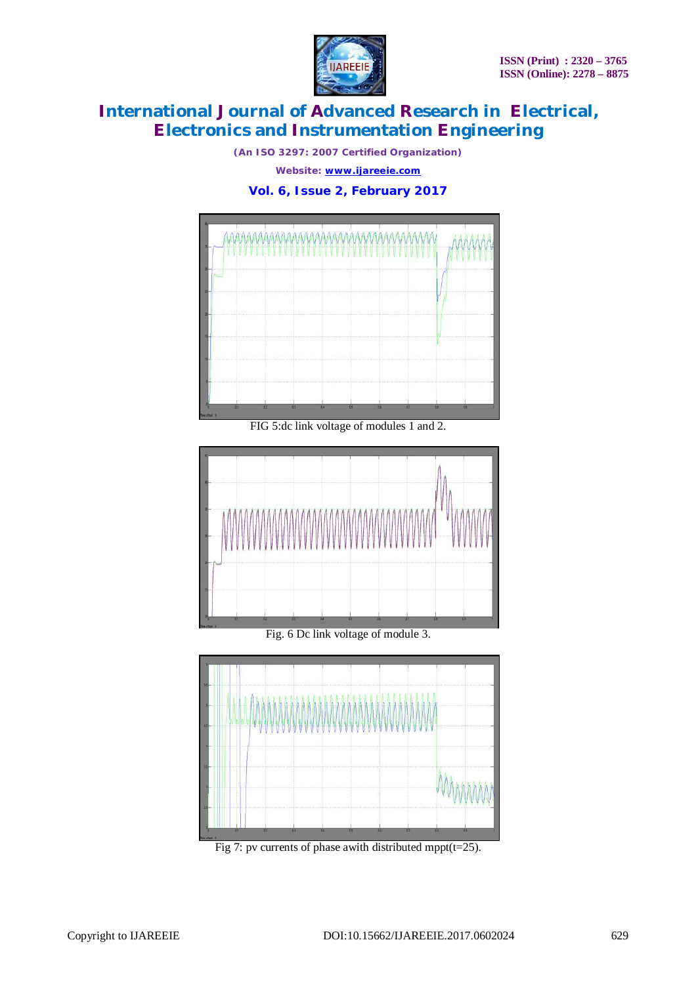

*(An ISO 3297: 2007 Certified Organization)*

*Website: [www.ijareeie.com](http://www.ijareeie.com)*

**Vol. 6, Issue 2, February 2017**



FIG 5:dc link voltage of modules 1 and 2.



Fig. 6 Dc link voltage of module 3.



Fig 7: pv currents of phase awith distributed mppt( $t=25$ ).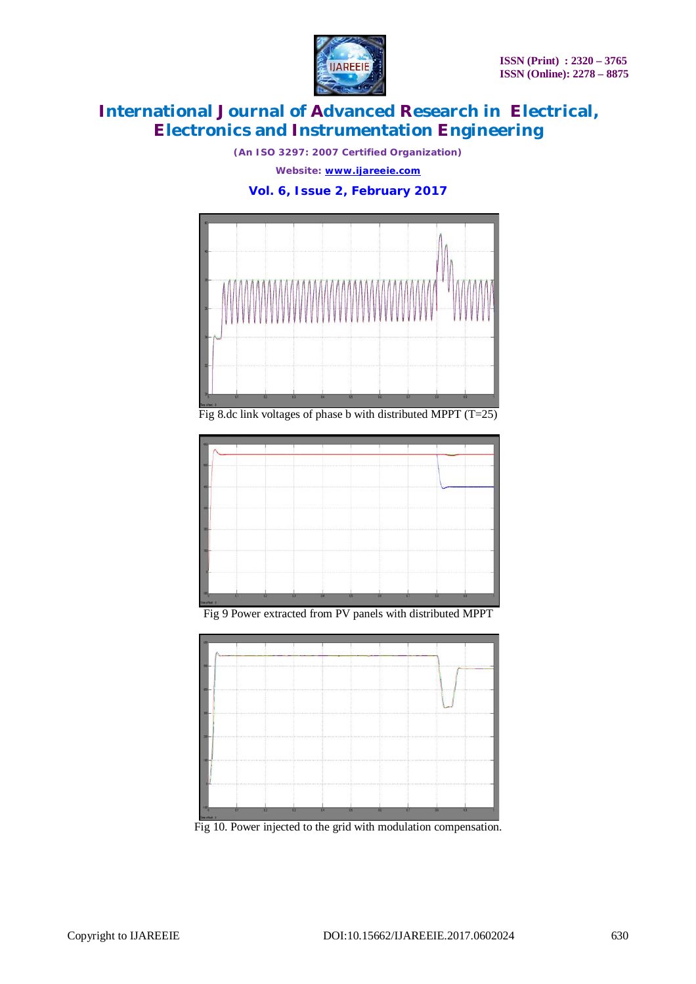

*(An ISO 3297: 2007 Certified Organization)*

*Website: [www.ijareeie.com](http://www.ijareeie.com)*

**Vol. 6, Issue 2, February 2017**



Fig 8.dc link voltages of phase b with distributed MPPT (T=25)



Fig 9 Power extracted from PV panels with distributed MPPT



Fig 10. Power injected to the grid with modulation compensation.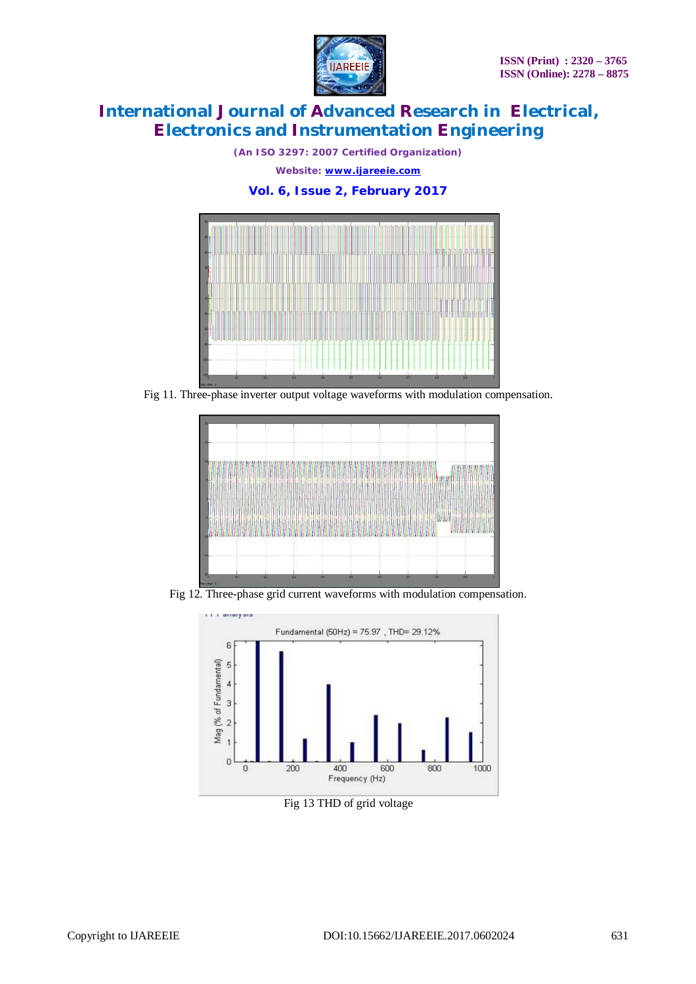

*(An ISO 3297: 2007 Certified Organization) Website: [www.ijareeie.com](http://www.ijareeie.com)*

**Vol. 6, Issue 2, February 2017**



Fig 11. Three-phase inverter output voltage waveforms with modulation compensation.



Fig 12. Three-phase grid current waveforms with modulation compensation.



Fig 13 THD of grid voltage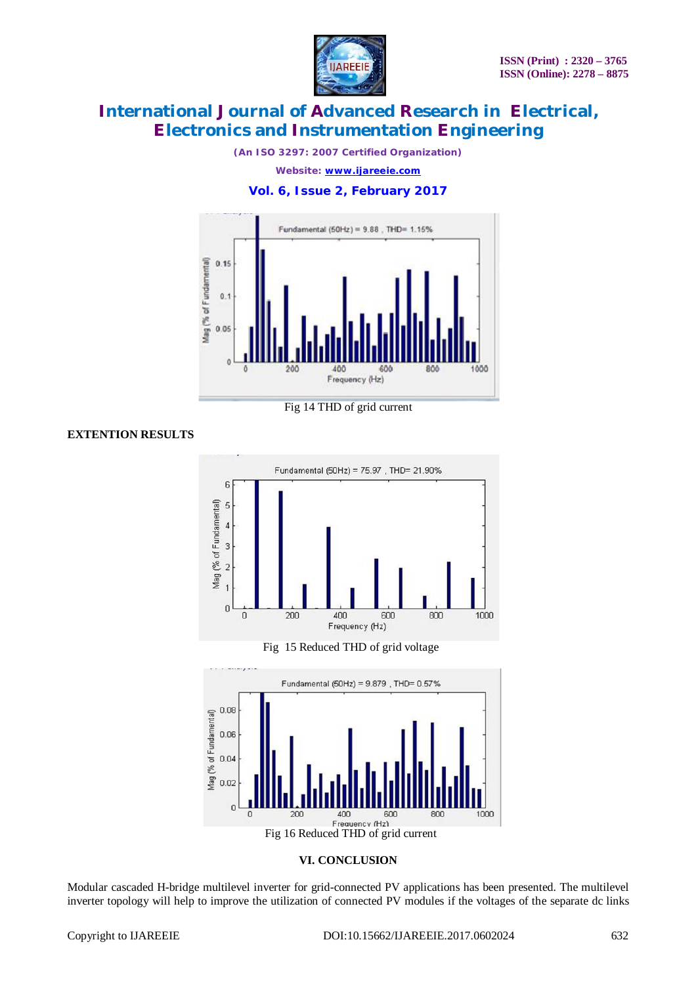

*(An ISO 3297: 2007 Certified Organization)*

*Website: [www.ijareeie.com](http://www.ijareeie.com)*

**Vol. 6, Issue 2, February 2017**



Fig 14 THD of grid current

#### **EXTENTION RESULTS**



Fig 15 Reduced THD of grid voltage





Modular cascaded H-bridge multilevel inverter for grid-connected PV applications has been presented. The multilevel inverter topology will help to improve the utilization of connected PV modules if the voltages of the separate dc links